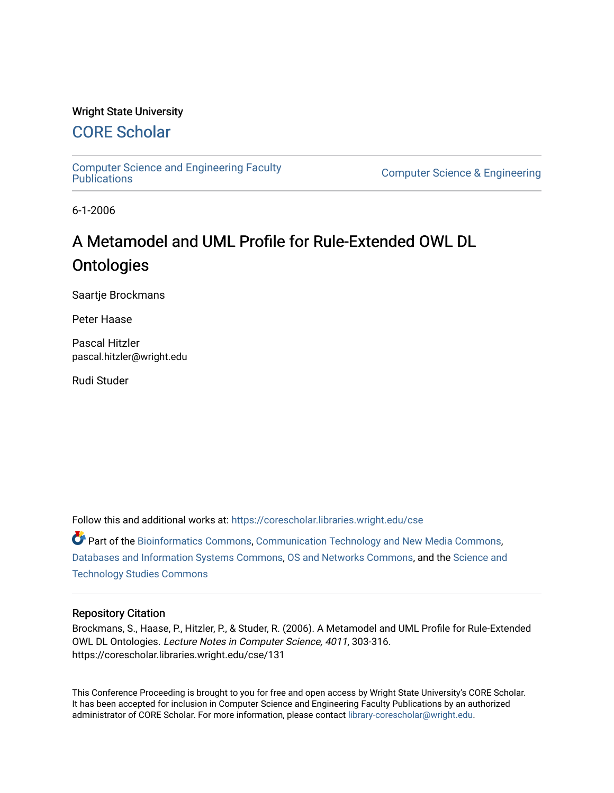## Wright State University

## [CORE Scholar](https://corescholar.libraries.wright.edu/)

[Computer Science and Engineering Faculty](https://corescholar.libraries.wright.edu/cse) 

**Computer Science & Engineering** 

6-1-2006

# A Metamodel and UML Profile for Rule-Extended OWL DL **Ontologies**

Saartje Brockmans

Peter Haase

Pascal Hitzler pascal.hitzler@wright.edu

Rudi Studer

Follow this and additional works at: [https://corescholar.libraries.wright.edu/cse](https://corescholar.libraries.wright.edu/cse?utm_source=corescholar.libraries.wright.edu%2Fcse%2F131&utm_medium=PDF&utm_campaign=PDFCoverPages) Part of the [Bioinformatics Commons,](http://network.bepress.com/hgg/discipline/110?utm_source=corescholar.libraries.wright.edu%2Fcse%2F131&utm_medium=PDF&utm_campaign=PDFCoverPages) [Communication Technology and New Media Commons,](http://network.bepress.com/hgg/discipline/327?utm_source=corescholar.libraries.wright.edu%2Fcse%2F131&utm_medium=PDF&utm_campaign=PDFCoverPages) [Databases and Information Systems Commons](http://network.bepress.com/hgg/discipline/145?utm_source=corescholar.libraries.wright.edu%2Fcse%2F131&utm_medium=PDF&utm_campaign=PDFCoverPages), [OS and Networks Commons](http://network.bepress.com/hgg/discipline/149?utm_source=corescholar.libraries.wright.edu%2Fcse%2F131&utm_medium=PDF&utm_campaign=PDFCoverPages), and the [Science and](http://network.bepress.com/hgg/discipline/435?utm_source=corescholar.libraries.wright.edu%2Fcse%2F131&utm_medium=PDF&utm_campaign=PDFCoverPages)

[Technology Studies Commons](http://network.bepress.com/hgg/discipline/435?utm_source=corescholar.libraries.wright.edu%2Fcse%2F131&utm_medium=PDF&utm_campaign=PDFCoverPages) 

## Repository Citation

Brockmans, S., Haase, P., Hitzler, P., & Studer, R. (2006). A Metamodel and UML Profile for Rule-Extended OWL DL Ontologies. Lecture Notes in Computer Science, 4011, 303-316. https://corescholar.libraries.wright.edu/cse/131

This Conference Proceeding is brought to you for free and open access by Wright State University's CORE Scholar. It has been accepted for inclusion in Computer Science and Engineering Faculty Publications by an authorized administrator of CORE Scholar. For more information, please contact [library-corescholar@wright.edu.](mailto:library-corescholar@wright.edu)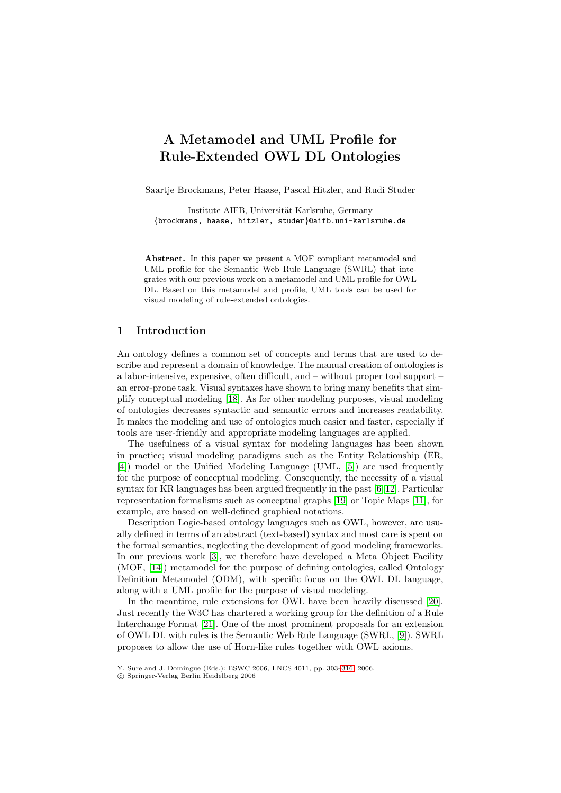## **A Metamodel and UML Profile for Rule-Extended OWL DL Ontologies**

Saartje Brockmans, Peter Haase, Pascal Hitzler, and Rudi Studer

Institute AIFB, Universität Karlsruhe, Germany {brockmans, haase, hitzler, studer}@aifb.uni-karlsruhe.de

**Abstract.** In this paper we present a MOF compliant metamodel and UML profile for the Semantic Web Rule Language (SWRL) that integrates with our previous work on a metamodel and UML profile for OWL DL. Based on this metamodel and profile, UML tools can be used for visual modeling of rule-extended ontologies.

## **1 Introduction**

An ontology defines a common set of concepts and terms that are used to describe and represent a domain of knowledge. The manual creation of ontologies is a labor-intensive, expensive, often difficult, and – without proper tool support – an error-prone task. Visual syntaxes have shown to bring many benefits that simplify conceptual modeling [\[18\]](#page-14-0). As for other modeling purposes, visual modeling of ontologies decreases syntactic and semantic errors and increases readability. It makes the modeling and use of ontologies much easier and faster, especially if tools are user-friendly and appropriate modeling languages are applied.

The usefulness of a visual syntax for modeling languages has been shown in practice; visual modeling paradigms such as the Entity Relationship (ER, [\[4\]](#page-13-0)) model or the Unified Modeling Language (UML, [\[5\]](#page-13-1)) are used frequently for the purpose of conceptual modeling. Consequently, the necessity of a visual syntax for KR languages has been argued frequently in the past [\[6,](#page-13-2) [12\]](#page-14-1). Particular representation formalisms such as conceptual graphs [\[19\]](#page-14-2) or Topic Maps [\[11\]](#page-14-3), for example, are based on well-defined graphical notations.

Description Logic-based ontology languages such as OWL, however, are usually defined in terms of an abstract (text-based) syntax and most care is spent on the formal semantics, neglecting the development of good modeling frameworks. In our previous work [\[3\]](#page-13-3), we therefore have developed a Meta Object Facility (MOF, [\[14\]](#page-14-4)) metamodel for the purpose of defining ontologies, called Ontology Definition Metamodel (ODM), with specific focus on the OWL DL language, along with a UML profile for the purpose of visual modeling.

In the meantime, rule extensions for OWL have been heavily discussed [\[20\]](#page-14-5). Just recently the W3C has chartered a working group for the definition of a Rule Interchange Format [\[21\]](#page-14-6). One of the most prominent proposals for an extension of OWL DL with rules is the Semantic Web Rule Language (SWRL, [\[9\]](#page-14-7)). SWRL proposes to allow the use of Horn-like rules together with OWL axioms.

Y. Sure and J. Domingue (Eds.): ESWC 2006, LNCS 4011, pp. 303[–316,](#page-13-4) 2006.

<sup>-</sup>c Springer-Verlag Berlin Heidelberg 2006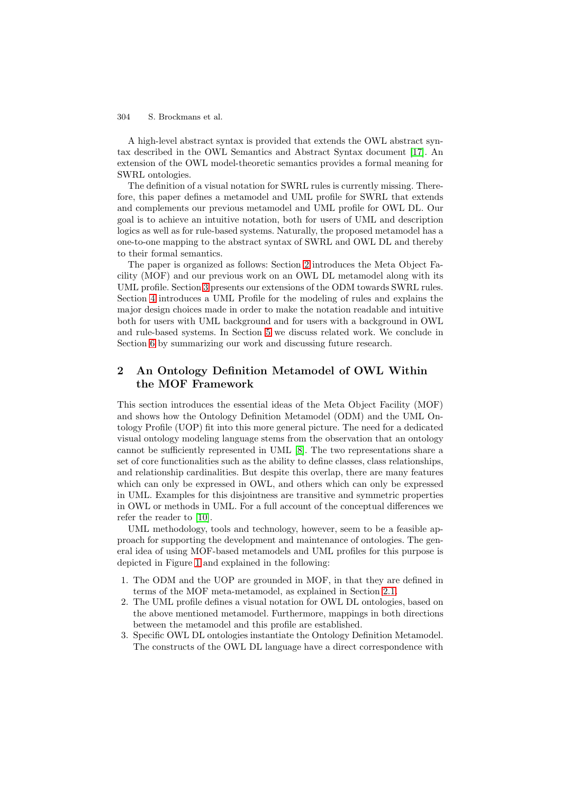A high-level abstract syntax is provided that extends the OWL abstract syntax described in the OWL Semantics and Abstract Syntax document [\[17\]](#page-14-8). An extension of the OWL model-theoretic semantics provides a formal meaning for SWRL ontologies.

The definition of a visual notation for SWRL rules is currently missing. Therefore, this paper defines a metamodel and UML profile for SWRL that extends and complements our previous metamodel and UML profile for OWL DL. Our goal is to achieve an intuitive notation, both for users of UML and description logics as well as for rule-based systems. Naturally, the proposed metamodel has a one-to-one mapping to the abstract syntax of SWRL and OWL DL and thereby to their formal semantics.

The paper is organized as follows: Section [2](#page-2-0) introduces the Meta Object Facility (MOF) and our previous work on an OWL DL metamodel along with its UML profile. Section [3](#page-7-0) presents our extensions of the ODM towards SWRL rules. Section [4](#page-9-0) introduces a UML Profile for the modeling of rules and explains the major design choices made in order to make the notation readable and intuitive both for users with UML background and for users with a background in OWL and rule-based systems. In Section [5](#page-12-0) we discuss related work. We conclude in Section [6](#page-12-1) by summarizing our work and discussing future research.

## <span id="page-2-0"></span>**2 An Ontology Definition Metamodel of OWL Within the MOF Framework**

This section introduces the essential ideas of the Meta Object Facility (MOF) and shows how the Ontology Definition Metamodel (ODM) and the UML Ontology Profile (UOP) fit into this more general picture. The need for a dedicated visual ontology modeling language stems from the observation that an ontology cannot be sufficiently represented in UML [\[8\]](#page-13-5). The two representations share a set of core functionalities such as the ability to define classes, class relationships, and relationship cardinalities. But despite this overlap, there are many features which can only be expressed in OWL, and others which can only be expressed in UML. Examples for this disjointness are transitive and symmetric properties in OWL or methods in UML. For a full account of the conceptual differences we refer the reader to [\[10\]](#page-14-9).

UML methodology, tools and technology, however, seem to be a feasible approach for supporting the development and maintenance of ontologies. The general idea of using MOF-based metamodels and UML profiles for this purpose is depicted in Figure [1](#page-3-0) and explained in the following:

- 1. The ODM and the UOP are grounded in MOF, in that they are defined in terms of the MOF meta-metamodel, as explained in Section [2.1.](#page-3-1)
- 2. The UML profile defines a visual notation for OWL DL ontologies, based on the above mentioned metamodel. Furthermore, mappings in both directions between the metamodel and this profile are established.
- 3. Specific OWL DL ontologies instantiate the Ontology Definition Metamodel. The constructs of the OWL DL language have a direct correspondence with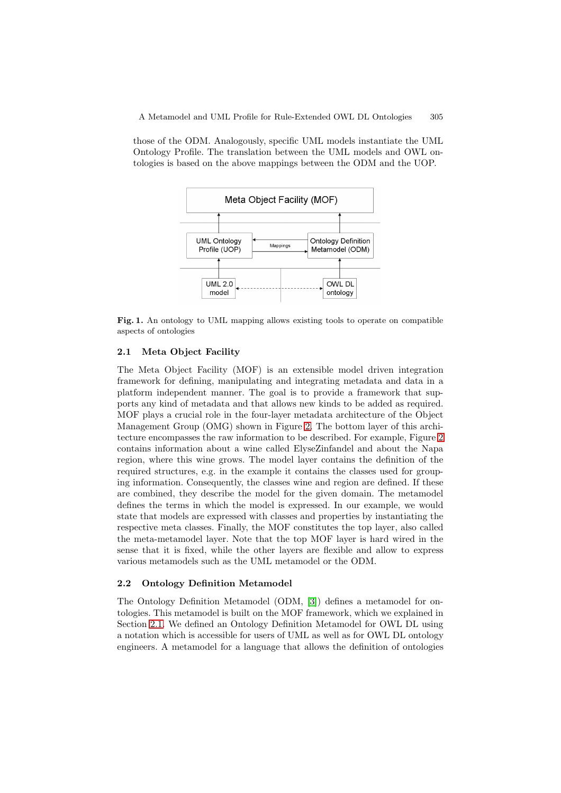those of the ODM. Analogously, specific UML models instantiate the UML Ontology Profile. The translation between the UML models and OWL ontologies is based on the above mappings between the ODM and the UOP.



<span id="page-3-0"></span>**Fig. 1.** An ontology to UML mapping allows existing tools to operate on compatible aspects of ontologies

### <span id="page-3-1"></span>**2.1 Meta Object Facility**

The Meta Object Facility (MOF) is an extensible model driven integration framework for defining, manipulating and integrating metadata and data in a platform independent manner. The goal is to provide a framework that supports any kind of metadata and that allows new kinds to be added as required. MOF plays a crucial role in the four-layer metadata architecture of the Object Management Group (OMG) shown in Figure [2.](#page-4-0) The bottom layer of this architecture encompasses the raw information to be described. For example, Figure [2](#page-4-0) contains information about a wine called ElyseZinfandel and about the Napa region, where this wine grows. The model layer contains the definition of the required structures, e.g. in the example it contains the classes used for grouping information. Consequently, the classes wine and region are defined. If these are combined, they describe the model for the given domain. The metamodel defines the terms in which the model is expressed. In our example, we would state that models are expressed with classes and properties by instantiating the respective meta classes. Finally, the MOF constitutes the top layer, also called the meta-metamodel layer. Note that the top MOF layer is hard wired in the sense that it is fixed, while the other layers are flexible and allow to express various metamodels such as the UML metamodel or the ODM.

#### **2.2 Ontology Definition Metamodel**

The Ontology Definition Metamodel (ODM, [\[3\]](#page-13-3)) defines a metamodel for ontologies. This metamodel is built on the MOF framework, which we explained in Section [2.1.](#page-3-1) We defined an Ontology Definition Metamodel for OWL DL using a notation which is accessible for users of UML as well as for OWL DL ontology engineers. A metamodel for a language that allows the definition of ontologies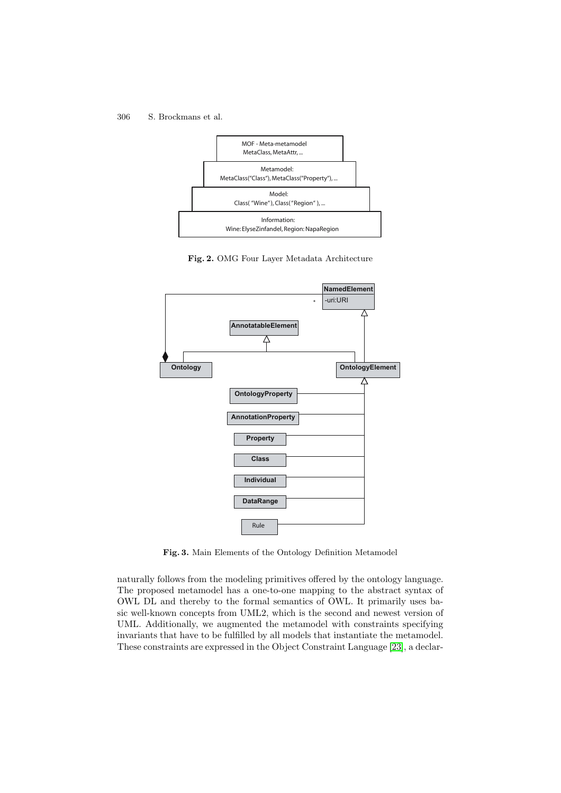

**Fig. 2.** OMG Four Layer Metadata Architecture

<span id="page-4-0"></span>

**Fig. 3.** Main Elements of the Ontology Definition Metamodel

<span id="page-4-1"></span>naturally follows from the modeling primitives offered by the ontology language. The proposed metamodel has a one-to-one mapping to the abstract syntax of OWL DL and thereby to the formal semantics of OWL. It primarily uses basic well-known concepts from UML2, which is the second and newest version of UML. Additionally, we augmented the metamodel with constraints specifying invariants that have to be fulfilled by all models that instantiate the metamodel. These constraints are expressed in the Object Constraint Language [\[23\]](#page-14-10), a declar-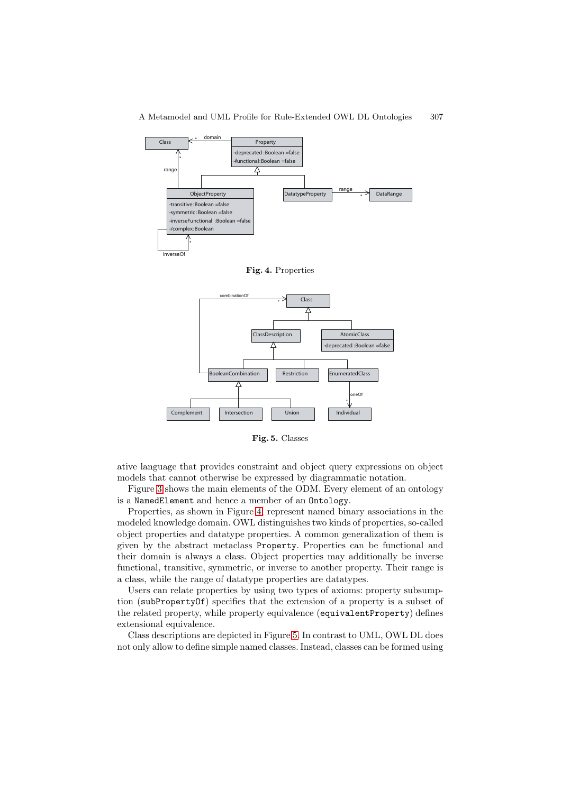#### A Metamodel and UML Profile for Rule-Extended OWL DL Ontologies 307



<span id="page-5-0"></span>**Fig. 4.** Properties



<span id="page-5-1"></span>**Fig. 5.** Classes

ative language that provides constraint and object query expressions on object models that cannot otherwise be expressed by diagrammatic notation.

Figure [3](#page-4-1) shows the main elements of the ODM. Every element of an ontology is a NamedElement and hence a member of an Ontology.

Properties, as shown in Figure [4,](#page-5-0) represent named binary associations in the modeled knowledge domain. OWL distinguishes two kinds of properties, so-called object properties and datatype properties. A common generalization of them is given by the abstract metaclass Property. Properties can be functional and their domain is always a class. Object properties may additionally be inverse functional, transitive, symmetric, or inverse to another property. Their range is a class, while the range of datatype properties are datatypes.

Users can relate properties by using two types of axioms: property subsumption (subPropertyOf) specifies that the extension of a property is a subset of the related property, while property equivalence (equivalentProperty) defines extensional equivalence.

Class descriptions are depicted in Figure [5.](#page-5-1) In contrast to UML, OWL DL does not only allow to define simple named classes. Instead, classes can be formed using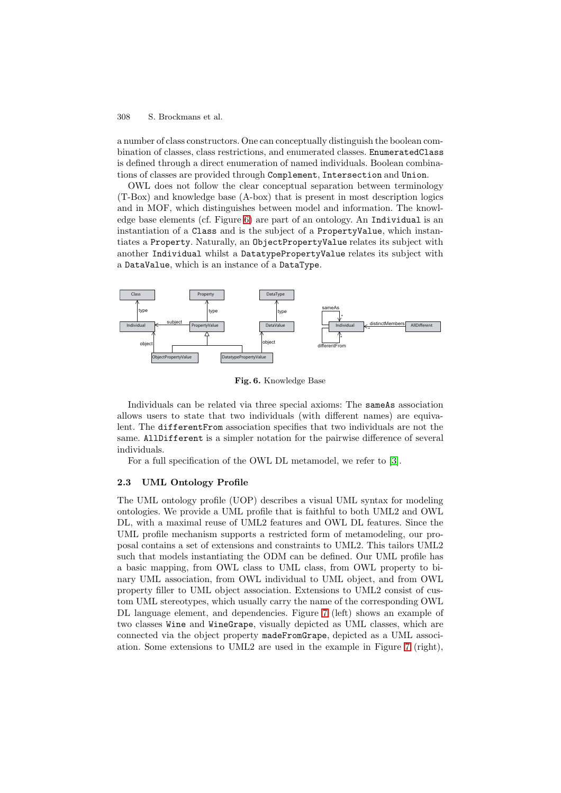a number of class constructors. One can conceptually distinguish the boolean combination of classes, class restrictions, and enumerated classes. EnumeratedClass is defined through a direct enumeration of named individuals. Boolean combinations of classes are provided through Complement, Intersection and Union.

OWL does not follow the clear conceptual separation between terminology (T-Box) and knowledge base (A-box) that is present in most description logics and in MOF, which distinguishes between model and information. The knowledge base elements (cf. Figure [6\)](#page-6-0) are part of an ontology. An Individual is an instantiation of a Class and is the subject of a PropertyValue, which instantiates a Property. Naturally, an ObjectPropertyValue relates its subject with another Individual whilst a DatatypePropertyValue relates its subject with a DataValue, which is an instance of a DataType.



<span id="page-6-0"></span>**Fig. 6.** Knowledge Base

Individuals can be related via three special axioms: The sameAs association allows users to state that two individuals (with different names) are equivalent. The differentFrom association specifies that two individuals are not the same. AllDifferent is a simpler notation for the pairwise difference of several individuals.

For a full specification of the OWL DL metamodel, we refer to [\[3\]](#page-13-3).

#### **2.3 UML Ontology Profile**

The UML ontology profile (UOP) describes a visual UML syntax for modeling ontologies. We provide a UML profile that is faithful to both UML2 and OWL DL, with a maximal reuse of UML2 features and OWL DL features. Since the UML profile mechanism supports a restricted form of metamodeling, our proposal contains a set of extensions and constraints to UML2. This tailors UML2 such that models instantiating the ODM can be defined. Our UML profile has a basic mapping, from OWL class to UML class, from OWL property to binary UML association, from OWL individual to UML object, and from OWL property filler to UML object association. Extensions to UML2 consist of custom UML stereotypes, which usually carry the name of the corresponding OWL DL language element, and dependencies. Figure [7](#page-7-1) (left) shows an example of two classes Wine and WineGrape, visually depicted as UML classes, which are connected via the object property madeFromGrape, depicted as a UML association. Some extensions to UML2 are used in the example in Figure [7](#page-7-1) (right),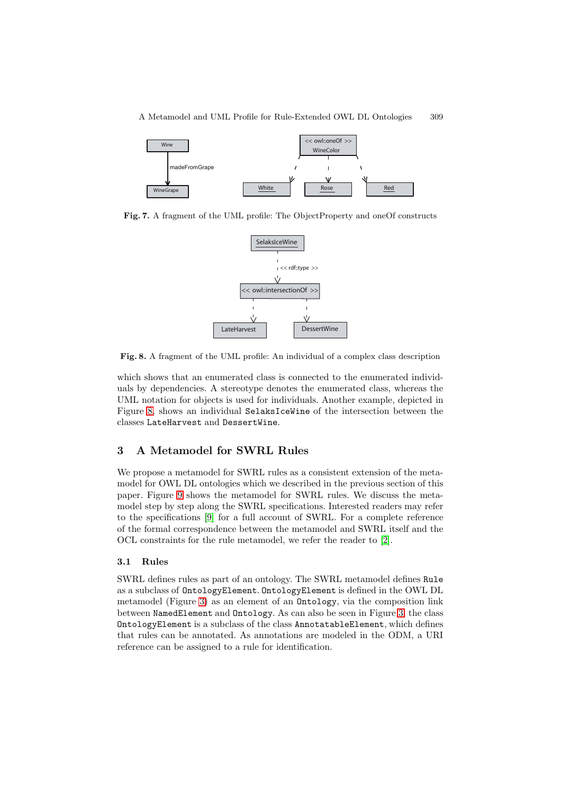

<span id="page-7-1"></span>Fig. 7. A fragment of the UML profile: The ObjectProperty and oneOf constructs



Fig. 8. A fragment of the UML profile: An individual of a complex class description

<span id="page-7-2"></span>which shows that an enumerated class is connected to the enumerated individuals by dependencies. A stereotype denotes the enumerated class, whereas the UML notation for objects is used for individuals. Another example, depicted in Figure [8,](#page-7-2) shows an individual SelaksIceWine of the intersection between the classes LateHarvest and DessertWine.

## <span id="page-7-0"></span>**3 A Metamodel for SWRL Rules**

We propose a metamodel for SWRL rules as a consistent extension of the metamodel for OWL DL ontologies which we described in the previous section of this paper. Figure [9](#page-8-0) shows the metamodel for SWRL rules. We discuss the metamodel step by step along the SWRL specifications. Interested readers may refer to the specifications [\[9\]](#page-14-7) for a full account of SWRL. For a complete reference of the formal correspondence between the metamodel and SWRL itself and the OCL constraints for the rule metamodel, we refer the reader to [\[2\]](#page-13-6).

### **3.1 Rules**

SWRL defines rules as part of an ontology. The SWRL metamodel defines Rule as a subclass of OntologyElement. OntologyElement is defined in the OWL DL metamodel (Figure [3\)](#page-4-1) as an element of an Ontology, via the composition link between NamedElement and Ontology. As can also be seen in Figure [3,](#page-4-1) the class OntologyElement is a subclass of the class AnnotatableElement, which defines that rules can be annotated. As annotations are modeled in the ODM, a URI reference can be assigned to a rule for identification.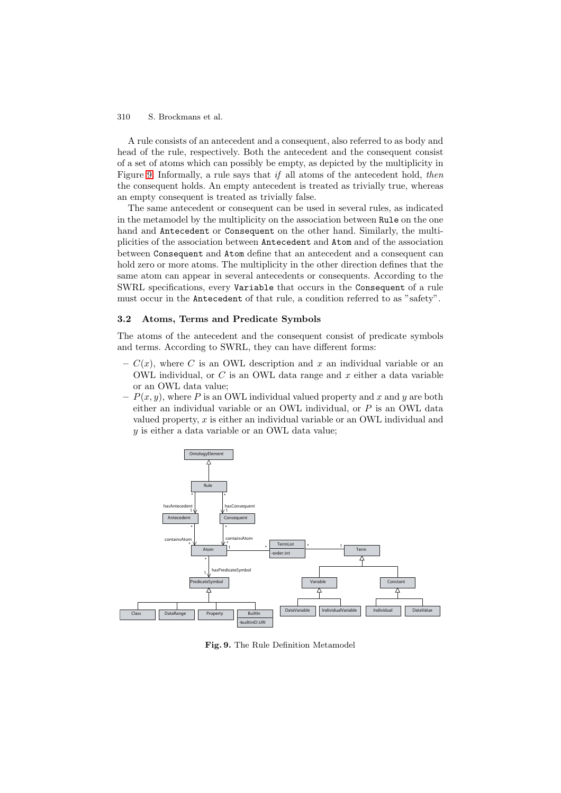A rule consists of an antecedent and a consequent, also referred to as body and head of the rule, respectively. Both the antecedent and the consequent consist of a set of atoms which can possibly be empty, as depicted by the multiplicity in Figure [9.](#page-8-0) Informally, a rule says that if all atoms of the antecedent hold, then the consequent holds. An empty antecedent is treated as trivially true, whereas an empty consequent is treated as trivially false.

The same antecedent or consequent can be used in several rules, as indicated in the metamodel by the multiplicity on the association between Rule on the one hand and Antecedent or Consequent on the other hand. Similarly, the multiplicities of the association between Antecedent and Atom and of the association between Consequent and Atom define that an antecedent and a consequent can hold zero or more atoms. The multiplicity in the other direction defines that the same atom can appear in several antecedents or consequents. According to the SWRL specifications, every Variable that occurs in the Consequent of a rule must occur in the Antecedent of that rule, a condition referred to as "safety".

#### **3.2 Atoms, Terms and Predicate Symbols**

The atoms of the antecedent and the consequent consist of predicate symbols and terms. According to SWRL, they can have different forms:

- $C(x)$ , where C is an OWL description and x an individual variable or an OWL individual, or  $C$  is an OWL data range and  $x$  either a data variable or an OWL data value;
- $-P(x, y)$ , where P is an OWL individual valued property and x and y are both either an individual variable or an OWL individual, or P is an OWL data valued property, x is either an individual variable or an OWL individual and y is either a data variable or an OWL data value;



<span id="page-8-0"></span>**Fig. 9.** The Rule Definition Metamodel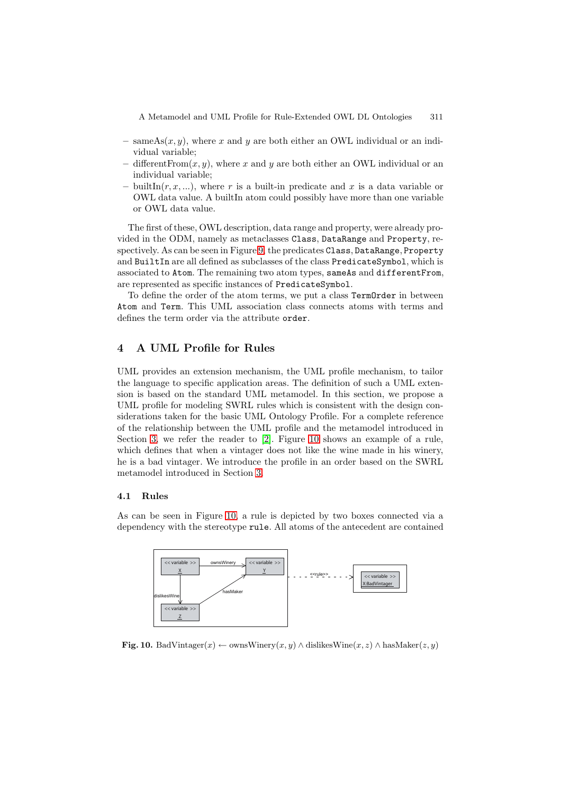- $-$  sameAs $(x, y)$ , where x and y are both either an OWL individual or an individual variable;
- different From  $(x, y)$ , where x and y are both either an OWL individual or an individual variable;
- built $\text{In}(r, x, \ldots)$ , where r is a built-in predicate and x is a data variable or OWL data value. A builtIn atom could possibly have more than one variable or OWL data value.

The first of these, OWL description, data range and property, were already provided in the ODM, namely as metaclasses Class, DataRange and Property, respectively. As can be seen in Figure [9,](#page-8-0) the predicates Class, DataRange, Property and BuiltIn are all defined as subclasses of the class PredicateSymbol, which is associated to Atom. The remaining two atom types, sameAs and differentFrom, are represented as specific instances of PredicateSymbol.

To define the order of the atom terms, we put a class TermOrder in between Atom and Term. This UML association class connects atoms with terms and defines the term order via the attribute order.

## <span id="page-9-0"></span>**4 A UML Profile for Rules**

UML provides an extension mechanism, the UML profile mechanism, to tailor the language to specific application areas. The definition of such a UML extension is based on the standard UML metamodel. In this section, we propose a UML profile for modeling SWRL rules which is consistent with the design considerations taken for the basic UML Ontology Profile. For a complete reference of the relationship between the UML profile and the metamodel introduced in Section [3,](#page-7-0) we refer the reader to [\[2\]](#page-13-6). Figure [10](#page-9-1) shows an example of a rule, which defines that when a vintager does not like the wine made in his winery, he is a bad vintager. We introduce the profile in an order based on the SWRL metamodel introduced in Section [3.](#page-7-0)

#### **4.1 Rules**

As can be seen in Figure [10,](#page-9-1) a rule is depicted by two boxes connected via a dependency with the stereotype rule. All atoms of the antecedent are contained



<span id="page-9-1"></span>**Fig. 10.** BadVintager $(x) \leftarrow \text{ownWinerv}(x, y) \wedge \text{dislikesWine}(x, z) \wedge \text{hasMaker}(z, y)$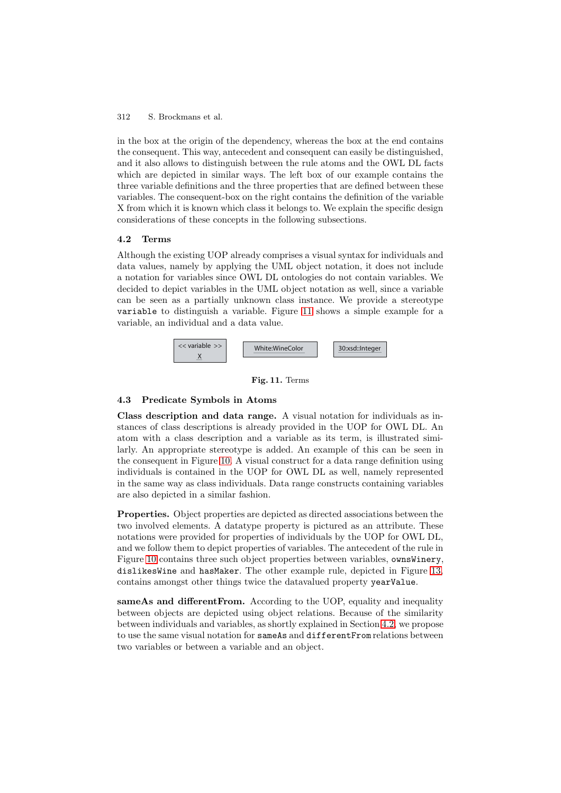in the box at the origin of the dependency, whereas the box at the end contains the consequent. This way, antecedent and consequent can easily be distinguished, and it also allows to distinguish between the rule atoms and the OWL DL facts which are depicted in similar ways. The left box of our example contains the three variable definitions and the three properties that are defined between these variables. The consequent-box on the right contains the definition of the variable X from which it is known which class it belongs to. We explain the specific design considerations of these concepts in the following subsections.

#### <span id="page-10-1"></span>**4.2 Terms**

Although the existing UOP already comprises a visual syntax for individuals and data values, namely by applying the UML object notation, it does not include a notation for variables since OWL DL ontologies do not contain variables. We decided to depict variables in the UML object notation as well, since a variable can be seen as a partially unknown class instance. We provide a stereotype variable to distinguish a variable. Figure [11](#page-10-0) shows a simple example for a variable, an individual and a data value.



<span id="page-10-0"></span>**Fig. 11.** Terms

## **4.3 Predicate Symbols in Atoms**

**Class description and data range.** A visual notation for individuals as instances of class descriptions is already provided in the UOP for OWL DL. An atom with a class description and a variable as its term, is illustrated similarly. An appropriate stereotype is added. An example of this can be seen in the consequent in Figure [10.](#page-9-1) A visual construct for a data range definition using individuals is contained in the UOP for OWL DL as well, namely represented in the same way as class individuals. Data range constructs containing variables are also depicted in a similar fashion.

**Properties.** Object properties are depicted as directed associations between the two involved elements. A datatype property is pictured as an attribute. These notations were provided for properties of individuals by the UOP for OWL DL, and we follow them to depict properties of variables. The antecedent of the rule in Figure [10](#page-9-1) contains three such object properties between variables, ownsWinery, dislikesWine and hasMaker. The other example rule, depicted in Figure [13,](#page-11-0) contains amongst other things twice the datavalued property yearValue.

sameAs and differentFrom. According to the UOP, equality and inequality between objects are depicted using object relations. Because of the similarity between individuals and variables, as shortly explained in Section [4.2,](#page-10-1) we propose to use the same visual notation for sameAs and differentFrom relations between two variables or between a variable and an object.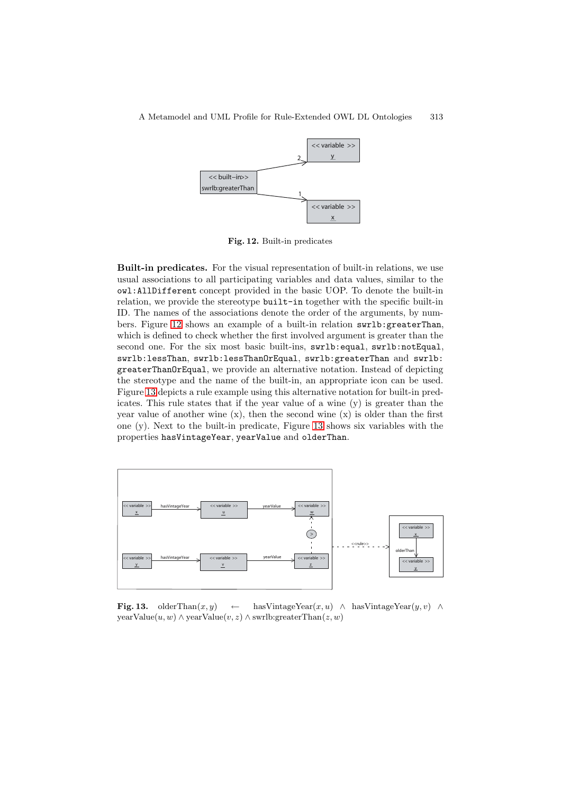

<span id="page-11-1"></span>**Fig. 12.** Built-in predicates

**Built-in predicates.** For the visual representation of built-in relations, we use usual associations to all participating variables and data values, similar to the owl:AllDifferent concept provided in the basic UOP. To denote the built-in relation, we provide the stereotype built-in together with the specific built-in ID. The names of the associations denote the order of the arguments, by numbers. Figure [12](#page-11-1) shows an example of a built-in relation swrlb:greaterThan, which is defined to check whether the first involved argument is greater than the second one. For the six most basic built-ins, swrlb:equal, swrlb:notEqual, swrlb:lessThan, swrlb:lessThanOrEqual, swrlb:greaterThan and swrlb: greaterThanOrEqual, we provide an alternative notation. Instead of depicting the stereotype and the name of the built-in, an appropriate icon can be used. Figure [13](#page-11-0) depicts a rule example using this alternative notation for built-in predicates. This rule states that if the year value of a wine (y) is greater than the year value of another wine  $(x)$ , then the second wine  $(x)$  is older than the first one (y). Next to the built-in predicate, Figure [13](#page-11-0) shows six variables with the properties hasVintageYear, yearValue and olderThan.



<span id="page-11-0"></span>**Fig. 13.** olderThan $(x, y) \leftarrow$  hasVintageYear $(x, u) \wedge$  hasVintageYear $(y, v) \wedge$ yearValue $(u, w)$  ∧ yearValue $(v, z)$  ∧ swrlb:greaterThan $(z, w)$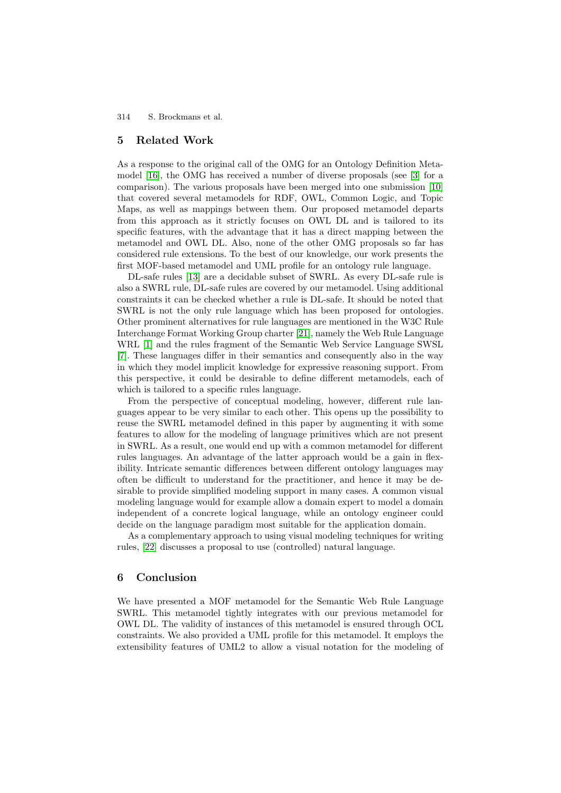## <span id="page-12-0"></span>**5 Related Work**

As a response to the original call of the OMG for an Ontology Definition Metamodel [\[16\]](#page-14-11), the OMG has received a number of diverse proposals (see [\[3\]](#page-13-3) for a comparison). The various proposals have been merged into one submission [\[10\]](#page-14-9) that covered several metamodels for RDF, OWL, Common Logic, and Topic Maps, as well as mappings between them. Our proposed metamodel departs from this approach as it strictly focuses on OWL DL and is tailored to its specific features, with the advantage that it has a direct mapping between the metamodel and OWL DL. Also, none of the other OMG proposals so far has considered rule extensions. To the best of our knowledge, our work presents the first MOF-based metamodel and UML profile for an ontology rule language.

DL-safe rules [\[13\]](#page-14-12) are a decidable subset of SWRL. As every DL-safe rule is also a SWRL rule, DL-safe rules are covered by our metamodel. Using additional constraints it can be checked whether a rule is DL-safe. It should be noted that SWRL is not the only rule language which has been proposed for ontologies. Other prominent alternatives for rule languages are mentioned in the W3C Rule Interchange Format Working Group charter [\[21\]](#page-14-6), namely the Web Rule Language WRL [\[1\]](#page-13-4) and the rules fragment of the Semantic Web Service Language SWSL [\[7\]](#page-13-7). These languages differ in their semantics and consequently also in the way in which they model implicit knowledge for expressive reasoning support. From this perspective, it could be desirable to define different metamodels, each of which is tailored to a specific rules language.

From the perspective of conceptual modeling, however, different rule languages appear to be very similar to each other. This opens up the possibility to reuse the SWRL metamodel defined in this paper by augmenting it with some features to allow for the modeling of language primitives which are not present in SWRL. As a result, one would end up with a common metamodel for different rules languages. An advantage of the latter approach would be a gain in flexibility. Intricate semantic differences between different ontology languages may often be difficult to understand for the practitioner, and hence it may be desirable to provide simplified modeling support in many cases. A common visual modeling language would for example allow a domain expert to model a domain independent of a concrete logical language, while an ontology engineer could decide on the language paradigm most suitable for the application domain.

As a complementary approach to using visual modeling techniques for writing rules, [\[22\]](#page-14-13) discusses a proposal to use (controlled) natural language.

## <span id="page-12-1"></span>**6 Conclusion**

We have presented a MOF metamodel for the Semantic Web Rule Language SWRL. This metamodel tightly integrates with our previous metamodel for OWL DL. The validity of instances of this metamodel is ensured through OCL constraints. We also provided a UML profile for this metamodel. It employs the extensibility features of UML2 to allow a visual notation for the modeling of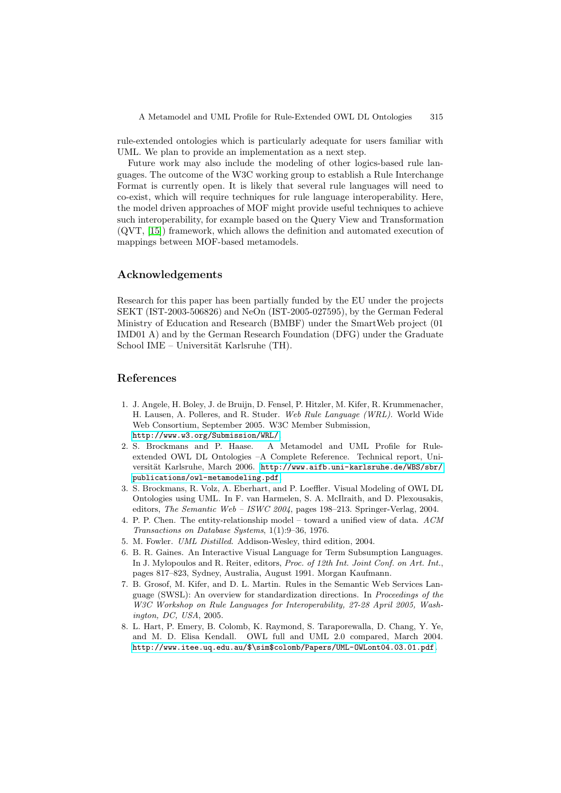rule-extended ontologies which is particularly adequate for users familiar with UML. We plan to provide an implementation as a next step.

Future work may also include the modeling of other logics-based rule languages. The outcome of the W3C working group to establish a Rule Interchange Format is currently open. It is likely that several rule languages will need to co-exist, which will require techniques for rule language interoperability. Here, the model driven approaches of MOF might provide useful techniques to achieve such interoperability, for example based on the Query View and Transformation (QVT, [\[15\]](#page-14-14)) framework, which allows the definition and automated execution of mappings between MOF-based metamodels.

## **Acknowledgements**

Research for this paper has been partially funded by the EU under the projects SEKT (IST-2003-506826) and NeOn (IST-2005-027595), by the German Federal Ministry of Education and Research (BMBF) under the SmartWeb project (01 IMD01 A) and by the German Research Foundation (DFG) under the Graduate School IME – Universität Karlsruhe (TH).

## <span id="page-13-4"></span>**References**

- 1. J. Angele, H. Boley, J. de Bruijn, D. Fensel, P. Hitzler, M. Kifer, R. Krummenacher, H. Lausen, A. Polleres, and R. Studer. Web Rule Language (WRL). World Wide Web Consortium, September 2005. W3C Member Submission, <http://www.w3.org/Submission/WRL/>.
- <span id="page-13-6"></span>2. S. Brockmans and P. Haase. A Metamodel and UML Profile for Ruleextended OWL DL Ontologies –A Complete Reference. Technical report, Universität Karlsruhe, March 2006. <http://www.aifb.uni-karlsruhe.de/WBS/sbr/> <publications/owl-metamodeling.pdf>.
- <span id="page-13-3"></span>3. S. Brockmans, R. Volz, A. Eberhart, and P. Loeffler. Visual Modeling of OWL DL Ontologies using UML. In F. van Harmelen, S. A. McIlraith, and D. Plexousakis, editors, The Semantic Web - ISWC 2004, pages 198-213. Springer-Verlag, 2004.
- <span id="page-13-0"></span>4. P. P. Chen. The entity-relationship model – toward a unified view of data. ACM Transactions on Database Systems, 1(1):9–36, 1976.
- <span id="page-13-2"></span><span id="page-13-1"></span>5. M. Fowler. UML Distilled. Addison-Wesley, third edition, 2004.
- 6. B. R. Gaines. An Interactive Visual Language for Term Subsumption Languages. In J. Mylopoulos and R. Reiter, editors, Proc. of 12th Int. Joint Conf. on Art. Int., pages 817–823, Sydney, Australia, August 1991. Morgan Kaufmann.
- <span id="page-13-7"></span>7. B. Grosof, M. Kifer, and D. L. Martin. Rules in the Semantic Web Services Language (SWSL): An overview for standardization directions. In Proceedings of the W3C Workshop on Rule Languages for Interoperability, 27-28 April 2005, Washington, DC, USA, 2005.
- <span id="page-13-5"></span>8. L. Hart, P. Emery, B. Colomb, K. Raymond, S. Taraporewalla, D. Chang, Y. Ye, and M. D. Elisa Kendall. OWL full and UML 2.0 compared, March 2004. [http://www.itee.uq.edu.au/\\$\sim\\$colomb/Papers/UML-OWLont04.03.01.pdf](http://www.itee.uq.edu.au/$sim $colomb/Papers/UML-OWLont04.03.01.pdf).